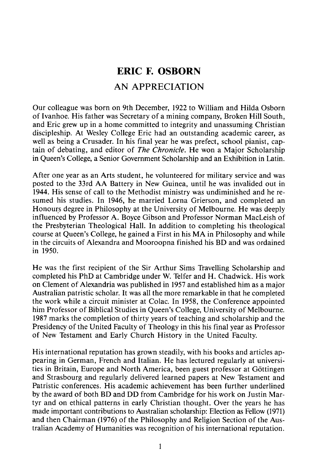## **ERIC F. OSBORN**  AN APPRECIATION

Our colleague was born on 9th December, 1922 to William and Hilda Osborn of Ivanhoe. His father was Secretary of a mining company, Broken Hill South, and Eric grew up in a home committed to integrity and unassuming Christian discipleship. At Wesley College Eric had an outstanding academic career, as well as being a Crusader. In his final year he was prefect, school pianist, captain of debating, and editor of *The Chronic/e.* He won a Major Scholarship in Queen's College, a Senior Government Scholarship and an Exhibition in Latin.

After one year as an Arts student, he volunteered for military service and was posted to the 33rd AA Battery in New Guinea, until he was invalided out in 1944. His sense of call to the Methodist ministry was undiminished and he resumed his studies. In 1946, he married Lorna Grierson, and completed an Honours degree in Philosophy at the University of Melbourne. He was deeply influenced by Professor A. Boyce Gibson and Professor Norman MacLeish of the Presbyterian Theological Hall. In addition to completing his theological course at Queen's College, he gained a First in his MA in Philosophy and while in the circuits of Alexandra and Mooroopna finished his BD and was ordained in 1950.

He was the first recipient of the Sir Arthur Sims Travelling Scholarship and completed his PhD at Cambridge under W. Telfer and H. Chadwick. His work on Clement of Alexandria was published in 1957 and established him as a major Australian patristic scholar. It was all the more remarkable in that he completed the work while a circuit minister at Colac. In 1958, the Conference appointed him Professor of Biblical Studies in Queen's College, University of Melbourne. 1987 marks the completion of thirty years of teaching and scholarship and the Presidency of the United Faculty of Theology in this his final year as Professor of New Testament and Early Church History in the United Faculty.

His international reputation has grown steadily, with his books and articles appearing in German, French and Italian. He has lectured regularly at universities in Britain, Europe and North America, been guest professor at Gottingen and Strasbourg and regularly delivered learned papers at New Testament and Patristic conferences. His academic achievement has been further underlined by the award of both BD and DD from Cambridge for his work on Justin Martyr and on ethical patterns in early Christian thought. Over the years he has made important contributions to Australian scholarship: Election as Fellow (1971) and then Chairman (1976) of the Philosophy and Religion Section of the Australian Academy of Humanities was recognition of his international reputation.